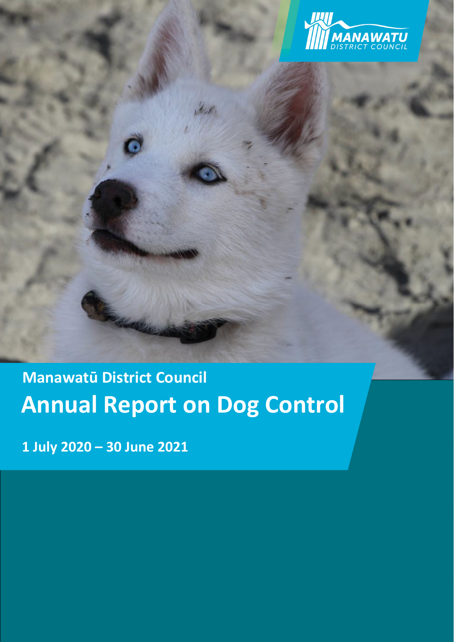

# **Annual Report on Dog Control Manawatū District Council**

**1 July 2020 – 30 June 2021**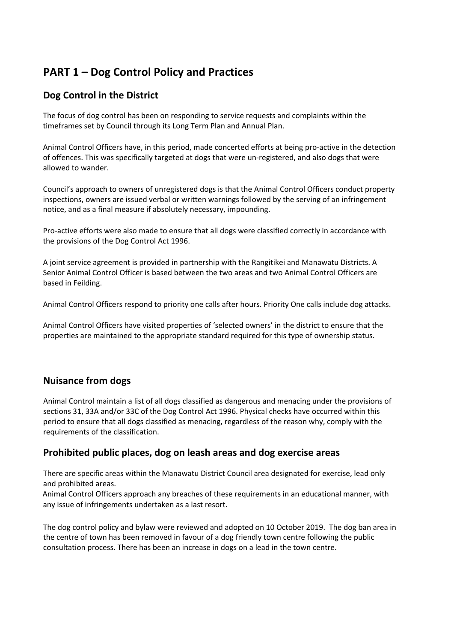### **PART 1 – Dog Control Policy and Practices**

#### **Dog Control in the District**

The focus of dog control has been on responding to service requests and complaints within the timeframes set by Council through its Long Term Plan and Annual Plan.

Animal Control Officers have, in this period, made concerted efforts at being pro‐active in the detection of offences. This was specifically targeted at dogs that were un‐registered, and also dogs that were allowed to wander.

Council's approach to owners of unregistered dogs is that the Animal Control Officers conduct property inspections, owners are issued verbal or written warnings followed by the serving of an infringement notice, and as a final measure if absolutely necessary, impounding.

Pro‐active efforts were also made to ensure that all dogs were classified correctly in accordance with the provisions of the Dog Control Act 1996.

A joint service agreement is provided in partnership with the Rangitikei and Manawatu Districts. A Senior Animal Control Officer is based between the two areas and two Animal Control Officers are based in Feilding.

Animal Control Officers respond to priority one calls after hours. Priority One calls include dog attacks.

Animal Control Officers have visited properties of 'selected owners' in the district to ensure that the properties are maintained to the appropriate standard required for this type of ownership status.

#### **Nuisance from dogs**

Animal Control maintain a list of all dogs classified as dangerous and menacing under the provisions of sections 31, 33A and/or 33C of the Dog Control Act 1996. Physical checks have occurred within this period to ensure that all dogs classified as menacing, regardless of the reason why, comply with the requirements of the classification.

#### **Prohibited public places, dog on leash areas and dog exercise areas**

There are specific areas within the Manawatu District Council area designated for exercise, lead only and prohibited areas.

Animal Control Officers approach any breaches of these requirements in an educational manner, with any issue of infringements undertaken as a last resort.

The dog control policy and bylaw were reviewed and adopted on 10 October 2019. The dog ban area in the centre of town has been removed in favour of a dog friendly town centre following the public consultation process. There has been an increase in dogs on a lead in the town centre.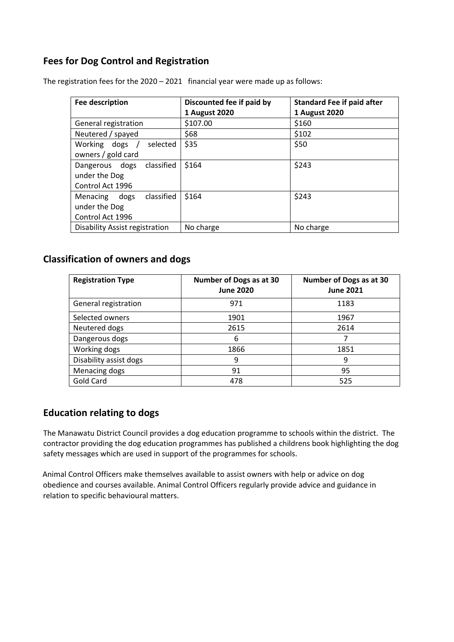#### **Fees for Dog Control and Registration**

| <b>Fee description</b>                                              | Discounted fee if paid by<br>1 August 2020 | <b>Standard Fee if paid after</b><br>1 August 2020 |
|---------------------------------------------------------------------|--------------------------------------------|----------------------------------------------------|
| General registration                                                | \$107.00                                   | \$160                                              |
| Neutered / spayed                                                   | \$68                                       | \$102                                              |
| Working dogs /<br>selected<br>owners / gold card                    | \$35                                       | \$50                                               |
| classified<br>Dangerous dogs<br>under the Dog<br>Control Act 1996   | \$164                                      | \$243                                              |
| classified<br>dogs<br>Menacing<br>under the Dog<br>Control Act 1996 | \$164                                      | \$243                                              |
| <b>Disability Assist registration</b>                               | No charge                                  | No charge                                          |

The registration fees for the 2020 – 2021 financial year were made up as follows:

#### **Classification of owners and dogs**

| <b>Registration Type</b> | Number of Dogs as at 30<br><b>June 2020</b> | Number of Dogs as at 30<br><b>June 2021</b> |
|--------------------------|---------------------------------------------|---------------------------------------------|
| General registration     | 971                                         | 1183                                        |
| Selected owners          | 1901                                        | 1967                                        |
| Neutered dogs            | 2615                                        | 2614                                        |
| Dangerous dogs           | 6                                           | 7                                           |
| Working dogs             | 1866                                        | 1851                                        |
| Disability assist dogs   | 9                                           | 9                                           |
| Menacing dogs            | 91                                          | 95                                          |
| Gold Card                | 478                                         | 525                                         |

#### **Education relating to dogs**

The Manawatu District Council provides a dog education programme to schools within the district. The contractor providing the dog education programmes has published a childrens book highlighting the dog safety messages which are used in support of the programmes for schools.

Animal Control Officers make themselves available to assist owners with help or advice on dog obedience and courses available. Animal Control Officers regularly provide advice and guidance in relation to specific behavioural matters.